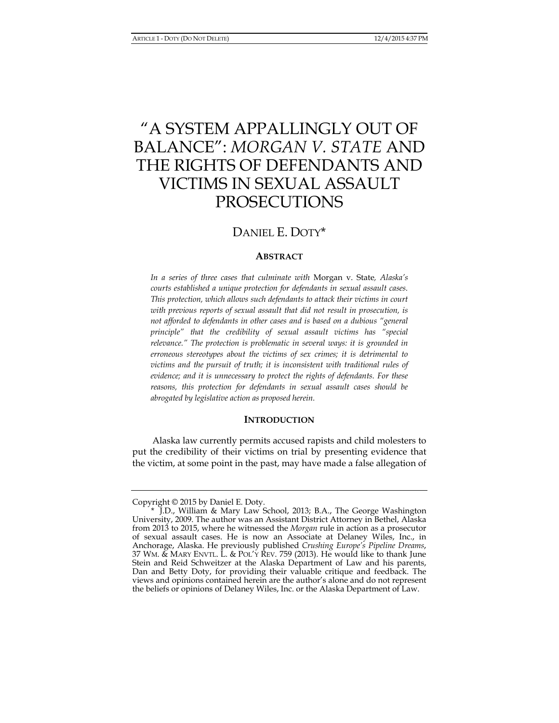# "A SYSTEM APPALLINGLY OUT OF BALANCE": *MORGAN V. STATE* AND THE RIGHTS OF DEFENDANTS AND VICTIMS IN SEXUAL ASSAULT PROSECUTIONS

## DANIEL E. DOTY\*

### **ABSTRACT**

*In a series of three cases that culminate with* Morgan v. State*, Alaska's courts established a unique protection for defendants in sexual assault cases. This protection, which allows such defendants to attack their victims in court with previous reports of sexual assault that did not result in prosecution, is not afforded to defendants in other cases and is based on a dubious "general principle" that the credibility of sexual assault victims has "special relevance." The protection is problematic in several ways: it is grounded in erroneous stereotypes about the victims of sex crimes; it is detrimental to victims and the pursuit of truth; it is inconsistent with traditional rules of evidence; and it is unnecessary to protect the rights of defendants. For these reasons, this protection for defendants in sexual assault cases should be abrogated by legislative action as proposed herein.* 

#### **INTRODUCTION**

Alaska law currently permits accused rapists and child molesters to put the credibility of their victims on trial by presenting evidence that the victim, at some point in the past, may have made a false allegation of

Copyright © 2015 by Daniel E. Doty.

 <sup>\*</sup> J.D., William & Mary Law School, 2013; B.A., The George Washington University, 2009. The author was an Assistant District Attorney in Bethel, Alaska from 2013 to 2015, where he witnessed the *Morgan* rule in action as a prosecutor of sexual assault cases. He is now an Associate at Delaney Wiles, Inc., in Anchorage, Alaska. He previously published *Crushing Europe's Pipeline Dreams*, 37 WM. & MARY ENVTL. L. & POL'Y REV. 759 (2013). He would like to thank June Stein and Reid Schweitzer at the Alaska Department of Law and his parents, Dan and Betty Doty, for providing their valuable critique and feedback. The views and opinions contained herein are the author's alone and do not represent the beliefs or opinions of Delaney Wiles, Inc. or the Alaska Department of Law.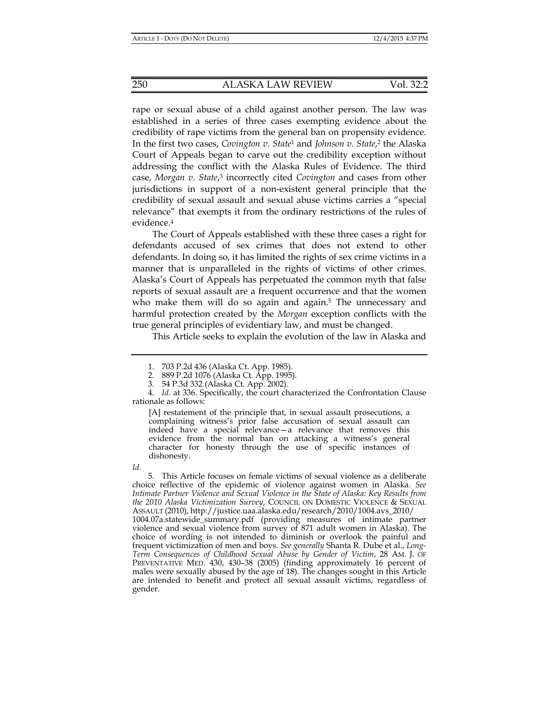rape or sexual abuse of a child against another person. The law was established in a series of three cases exempting evidence about the credibility of rape victims from the general ban on propensity evidence. In the first two cases, *Covington v. State*1 and *Johnson v. State*, 2 the Alaska Court of Appeals began to carve out the credibility exception without addressing the conflict with the Alaska Rules of Evidence. The third case, *Morgan v. State*, 3 incorrectly cited *Covington* and cases from other jurisdictions in support of a non-existent general principle that the credibility of sexual assault and sexual abuse victims carries a "special relevance" that exempts it from the ordinary restrictions of the rules of evidence.4

The Court of Appeals established with these three cases a right for defendants accused of sex crimes that does not extend to other defendants. In doing so, it has limited the rights of sex crime victims in a manner that is unparalleled in the rights of victims of other crimes. Alaska's Court of Appeals has perpetuated the common myth that false reports of sexual assault are a frequent occurrence and that the women who make them will do so again and again.<sup>5</sup> The unnecessary and harmful protection created by the *Morgan* exception conflicts with the true general principles of evidentiary law, and must be changed.

This Article seeks to explain the evolution of the law in Alaska and

2. 889 P.2d 1076 (Alaska Ct. App. 1995).

[A] restatement of the principle that, in sexual assault prosecutions, a complaining witness's prior false accusation of sexual assault can indeed have a special relevance—a relevance that removes this evidence from the normal ban on attacking a witness's general character for honesty through the use of specific instances of dishonesty.

*Id.*

 5. This Article focuses on female victims of sexual violence as a deliberate choice reflective of the epidemic of violence against women in Alaska. *See Intimate Partner Violence and Sexual Violence in the State of Alaska: Key Results from the 2010 Alaska Victimization Survey*, COUNCIL ON DOMESTIC VIOLENCE & SEXUAL ASSAULT (2010), http://justice.uaa.alaska.edu/research/2010/1004.avs\_2010/ 1004.07a.statewide\_summary.pdf (providing measures of intimate partner violence and sexual violence from survey of 871 adult women in Alaska). The choice of wording is not intended to diminish or overlook the painful and frequent victimization of men and boys. *See generally* Shanta R. Dube et al., *Long-Term Consequences of Childhood Sexual Abuse by Gender of Victim*, 28 AM. J. OF PREVENTATIVE MED. 430, 430–38 (2005) (finding approximately 16 percent of males were sexually abused by the age of 18). The changes sought in this Article are intended to benefit and protect all sexual assault victims, regardless of gender.

 <sup>1. 703</sup> P.2d 436 (Alaska Ct. App. 1985).

 <sup>3. 54</sup> P.3d 332 (Alaska Ct. App. 2002).

 <sup>4.</sup> *Id*. at 336. Specifically, the court characterized the Confrontation Clause rationale as follows: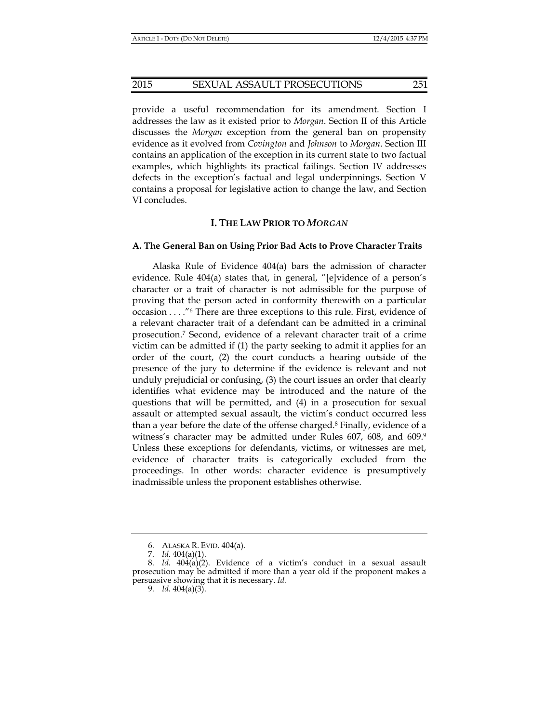provide a useful recommendation for its amendment. Section I addresses the law as it existed prior to *Morgan*. Section II of this Article discusses the *Morgan* exception from the general ban on propensity evidence as it evolved from *Covington* and *Johnson* to *Morgan*. Section III contains an application of the exception in its current state to two factual examples, which highlights its practical failings. Section IV addresses defects in the exception's factual and legal underpinnings. Section V contains a proposal for legislative action to change the law, and Section VI concludes.

#### **I. THE LAW PRIOR TO** *MORGAN*

#### **A. The General Ban on Using Prior Bad Acts to Prove Character Traits**

Alaska Rule of Evidence 404(a) bars the admission of character evidence. Rule 404(a) states that, in general, "[e]vidence of a person's character or a trait of character is not admissible for the purpose of proving that the person acted in conformity therewith on a particular occasion . . . ."6 There are three exceptions to this rule. First, evidence of a relevant character trait of a defendant can be admitted in a criminal prosecution.7 Second, evidence of a relevant character trait of a crime victim can be admitted if (1) the party seeking to admit it applies for an order of the court, (2) the court conducts a hearing outside of the presence of the jury to determine if the evidence is relevant and not unduly prejudicial or confusing, (3) the court issues an order that clearly identifies what evidence may be introduced and the nature of the questions that will be permitted, and (4) in a prosecution for sexual assault or attempted sexual assault, the victim's conduct occurred less than a year before the date of the offense charged.8 Finally, evidence of a witness's character may be admitted under Rules 607, 608, and 609.9 Unless these exceptions for defendants, victims, or witnesses are met, evidence of character traits is categorically excluded from the proceedings. In other words: character evidence is presumptively inadmissible unless the proponent establishes otherwise.

 <sup>6.</sup> ALASKA R. EVID. 404(a).

 <sup>7.</sup> *Id*. 404(a)(1).

 <sup>8.</sup> *Id.* 404(a)(2). Evidence of a victim's conduct in a sexual assault prosecution may be admitted if more than a year old if the proponent makes a persuasive showing that it is necessary. *Id.*

 <sup>9.</sup> *Id.* 404(a)(3).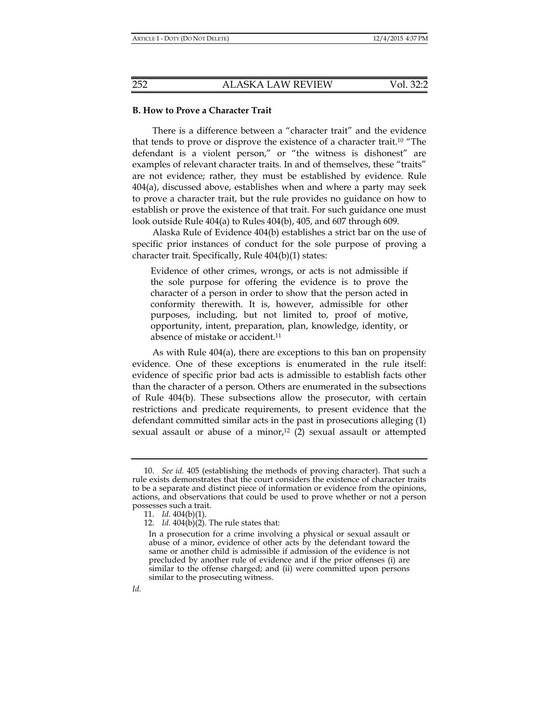#### **B. How to Prove a Character Trait**

There is a difference between a "character trait" and the evidence that tends to prove or disprove the existence of a character trait.10 "The defendant is a violent person," or "the witness is dishonest" are examples of relevant character traits. In and of themselves, these "traits" are not evidence; rather, they must be established by evidence. Rule 404(a), discussed above, establishes when and where a party may seek to prove a character trait, but the rule provides no guidance on how to establish or prove the existence of that trait. For such guidance one must look outside Rule 404(a) to Rules 404(b), 405, and 607 through 609.

Alaska Rule of Evidence 404(b) establishes a strict bar on the use of specific prior instances of conduct for the sole purpose of proving a character trait. Specifically, Rule 404(b)(1) states:

Evidence of other crimes, wrongs, or acts is not admissible if the sole purpose for offering the evidence is to prove the character of a person in order to show that the person acted in conformity therewith. It is, however, admissible for other purposes, including, but not limited to, proof of motive, opportunity, intent, preparation, plan, knowledge, identity, or absence of mistake or accident.<sup>11</sup>

As with Rule 404(a), there are exceptions to this ban on propensity evidence. One of these exceptions is enumerated in the rule itself: evidence of specific prior bad acts is admissible to establish facts other than the character of a person. Others are enumerated in the subsections of Rule 404(b). These subsections allow the prosecutor, with certain restrictions and predicate requirements, to present evidence that the defendant committed similar acts in the past in prosecutions alleging (1) sexual assault or abuse of a minor, $12$  (2) sexual assault or attempted

 <sup>10.</sup> *See id.* 405 (establishing the methods of proving character). That such a rule exists demonstrates that the court considers the existence of character traits to be a separate and distinct piece of information or evidence from the opinions, actions, and observations that could be used to prove whether or not a person possesses such a trait.

 <sup>11.</sup> *Id.* 404(b)(1).

 <sup>12.</sup> *Id.* 404(b)(2). The rule states that:

In a prosecution for a crime involving a physical or sexual assault or abuse of a minor, evidence of other acts by the defendant toward the same or another child is admissible if admission of the evidence is not precluded by another rule of evidence and if the prior offenses (i) are similar to the offense charged; and (ii) were committed upon persons similar to the prosecuting witness.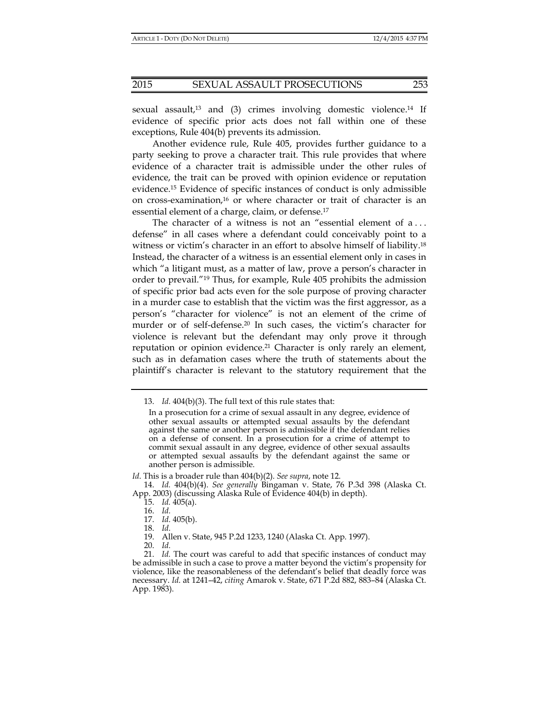sexual assault,<sup>13</sup> and (3) crimes involving domestic violence.<sup>14</sup> If evidence of specific prior acts does not fall within one of these exceptions, Rule 404(b) prevents its admission.

Another evidence rule, Rule 405, provides further guidance to a party seeking to prove a character trait. This rule provides that where evidence of a character trait is admissible under the other rules of evidence, the trait can be proved with opinion evidence or reputation evidence.15 Evidence of specific instances of conduct is only admissible on cross-examination, $16$  or where character or trait of character is an essential element of a charge, claim, or defense.17

The character of a witness is not an "essential element of a . . . defense" in all cases where a defendant could conceivably point to a witness or victim's character in an effort to absolve himself of liability.18 Instead, the character of a witness is an essential element only in cases in which "a litigant must, as a matter of law, prove a person's character in order to prevail."19 Thus, for example, Rule 405 prohibits the admission of specific prior bad acts even for the sole purpose of proving character in a murder case to establish that the victim was the first aggressor, as a person's "character for violence" is not an element of the crime of murder or of self-defense.20 In such cases, the victim's character for violence is relevant but the defendant may only prove it through reputation or opinion evidence.<sup>21</sup> Character is only rarely an element, such as in defamation cases where the truth of statements about the plaintiff's character is relevant to the statutory requirement that the

 <sup>13.</sup> *Id.* 404(b)(3). The full text of this rule states that:

In a prosecution for a crime of sexual assault in any degree, evidence of other sexual assaults or attempted sexual assaults by the defendant against the same or another person is admissible if the defendant relies on a defense of consent. In a prosecution for a crime of attempt to commit sexual assault in any degree, evidence of other sexual assaults or attempted sexual assaults by the defendant against the same or another person is admissible.

*Id*. This is a broader rule than 404(b)(2). *See supra*, note 12.

 <sup>14.</sup> *Id.* 404(b)(4). *See generally* Bingaman v. State, 76 P.3d 398 (Alaska Ct. App. 2003) (discussing Alaska Rule of Evidence 404(b) in depth).

 <sup>15.</sup> *Id.* 405(a).

 <sup>16.</sup> *Id.*

 <sup>17.</sup> *Id.* 405(b).

 <sup>18.</sup> *Id.*

 <sup>19.</sup> Allen v. State, 945 P.2d 1233, 1240 (Alaska Ct. App. 1997).

 <sup>20.</sup> *Id.*

 <sup>21.</sup> *Id.* The court was careful to add that specific instances of conduct may be admissible in such a case to prove a matter beyond the victim's propensity for violence, like the reasonableness of the defendant's belief that deadly force was necessary. *Id*. at 1241–42, *citing* Amarok v. State, 671 P.2d 882, 883–84 (Alaska Ct. App. 1983).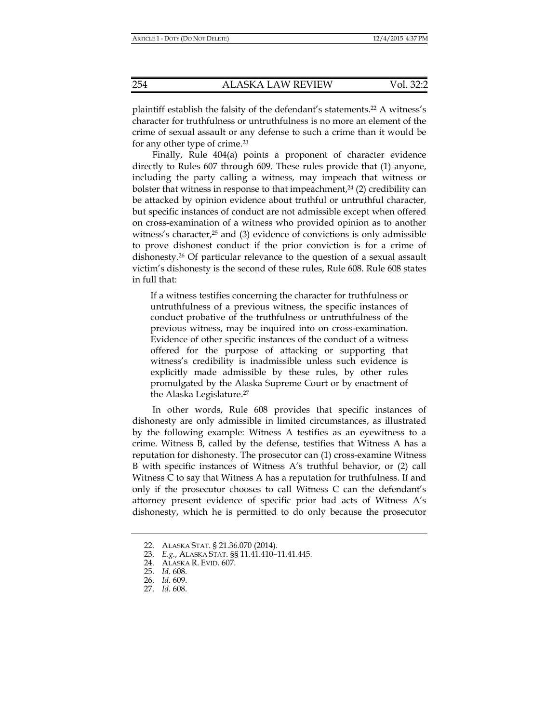plaintiff establish the falsity of the defendant's statements.22 A witness's character for truthfulness or untruthfulness is no more an element of the crime of sexual assault or any defense to such a crime than it would be for any other type of crime.23

Finally, Rule 404(a) points a proponent of character evidence directly to Rules 607 through 609. These rules provide that (1) anyone, including the party calling a witness, may impeach that witness or bolster that witness in response to that impeachment, $24$  (2) credibility can be attacked by opinion evidence about truthful or untruthful character, but specific instances of conduct are not admissible except when offered on cross-examination of a witness who provided opinion as to another witness's character, $25$  and (3) evidence of convictions is only admissible to prove dishonest conduct if the prior conviction is for a crime of dishonesty.26 Of particular relevance to the question of a sexual assault victim's dishonesty is the second of these rules, Rule 608. Rule 608 states in full that:

If a witness testifies concerning the character for truthfulness or untruthfulness of a previous witness, the specific instances of conduct probative of the truthfulness or untruthfulness of the previous witness, may be inquired into on cross-examination. Evidence of other specific instances of the conduct of a witness offered for the purpose of attacking or supporting that witness's credibility is inadmissible unless such evidence is explicitly made admissible by these rules, by other rules promulgated by the Alaska Supreme Court or by enactment of the Alaska Legislature.27

In other words, Rule 608 provides that specific instances of dishonesty are only admissible in limited circumstances, as illustrated by the following example: Witness A testifies as an eyewitness to a crime. Witness B, called by the defense, testifies that Witness A has a reputation for dishonesty. The prosecutor can (1) cross-examine Witness B with specific instances of Witness A's truthful behavior, or (2) call Witness C to say that Witness A has a reputation for truthfulness. If and only if the prosecutor chooses to call Witness C can the defendant's attorney present evidence of specific prior bad acts of Witness A's dishonesty, which he is permitted to do only because the prosecutor

 <sup>22.</sup> ALASKA STAT. § 21.36.070 (2014).

 <sup>23.</sup> *E.g.*, ALASKA STAT. §§ 11.41.410–11.41.445.

 <sup>24.</sup> ALASKA R. EVID. 607.

 <sup>25.</sup> *Id.* 608.

 <sup>26.</sup> *Id.* 609.

 <sup>27.</sup> *Id.* 608.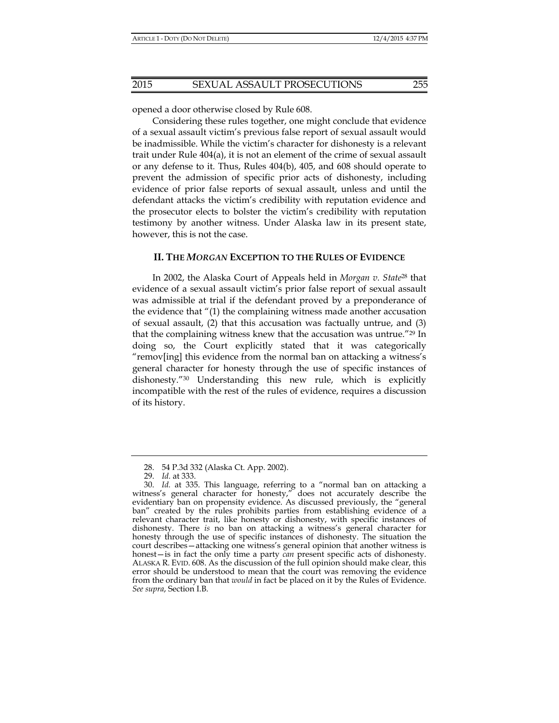opened a door otherwise closed by Rule 608.

Considering these rules together, one might conclude that evidence of a sexual assault victim's previous false report of sexual assault would be inadmissible. While the victim's character for dishonesty is a relevant trait under Rule 404(a), it is not an element of the crime of sexual assault or any defense to it. Thus, Rules 404(b), 405, and 608 should operate to prevent the admission of specific prior acts of dishonesty, including evidence of prior false reports of sexual assault, unless and until the defendant attacks the victim's credibility with reputation evidence and the prosecutor elects to bolster the victim's credibility with reputation testimony by another witness. Under Alaska law in its present state, however, this is not the case.

#### **II. THE** *MORGAN* **EXCEPTION TO THE RULES OF EVIDENCE**

In 2002, the Alaska Court of Appeals held in *Morgan v. State*28 that evidence of a sexual assault victim's prior false report of sexual assault was admissible at trial if the defendant proved by a preponderance of the evidence that "(1) the complaining witness made another accusation of sexual assault, (2) that this accusation was factually untrue, and (3) that the complaining witness knew that the accusation was untrue."29 In doing so, the Court explicitly stated that it was categorically "remov[ing] this evidence from the normal ban on attacking a witness's general character for honesty through the use of specific instances of dishonesty."30 Understanding this new rule, which is explicitly incompatible with the rest of the rules of evidence, requires a discussion of its history.

 <sup>28. 54</sup> P.3d 332 (Alaska Ct. App. 2002).

 <sup>29.</sup> *Id.* at 333.

 <sup>30.</sup> *Id.* at 335. This language, referring to a "normal ban on attacking a witness's general character for honesty," does not accurately describe the evidentiary ban on propensity evidence. As discussed previously, the "general ban" created by the rules prohibits parties from establishing evidence of a relevant character trait, like honesty or dishonesty, with specific instances of dishonesty. There *is* no ban on attacking a witness's general character for honesty through the use of specific instances of dishonesty. The situation the court describes—attacking one witness's general opinion that another witness is honest—is in fact the only time a party *can* present specific acts of dishonesty. ALASKA R. EVID. 608. As the discussion of the full opinion should make clear, this error should be understood to mean that the court was removing the evidence from the ordinary ban that *would* in fact be placed on it by the Rules of Evidence. *See supra*, Section I.B.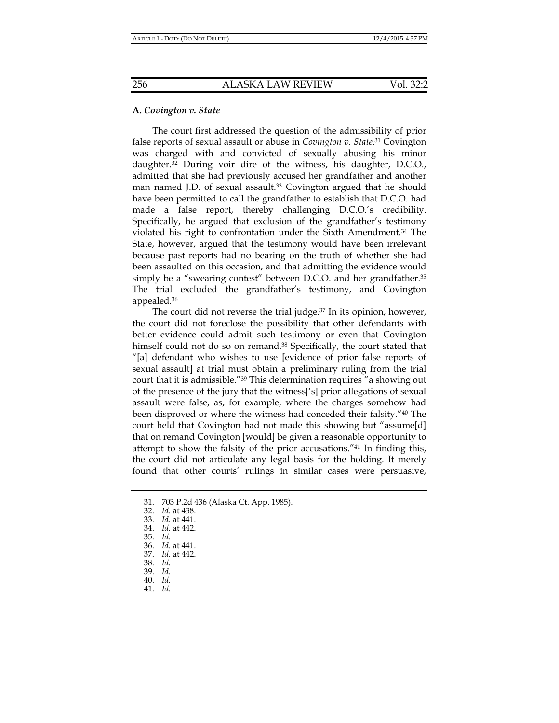#### **A.** *Covington v. State*

The court first addressed the question of the admissibility of prior false reports of sexual assault or abuse in *Covington v. State*. 31 Covington was charged with and convicted of sexually abusing his minor daughter.32 During voir dire of the witness, his daughter, D.C.O., admitted that she had previously accused her grandfather and another man named J.D. of sexual assault.<sup>33</sup> Covington argued that he should have been permitted to call the grandfather to establish that D.C.O. had made a false report, thereby challenging D.C.O.'s credibility. Specifically, he argued that exclusion of the grandfather's testimony violated his right to confrontation under the Sixth Amendment.34 The State, however, argued that the testimony would have been irrelevant because past reports had no bearing on the truth of whether she had been assaulted on this occasion, and that admitting the evidence would simply be a "swearing contest" between D.C.O. and her grandfather.<sup>35</sup> The trial excluded the grandfather's testimony, and Covington appealed.36

The court did not reverse the trial judge.<sup>37</sup> In its opinion, however, the court did not foreclose the possibility that other defendants with better evidence could admit such testimony or even that Covington himself could not do so on remand.<sup>38</sup> Specifically, the court stated that "[a] defendant who wishes to use [evidence of prior false reports of sexual assault] at trial must obtain a preliminary ruling from the trial court that it is admissible."39 This determination requires "a showing out of the presence of the jury that the witness['s] prior allegations of sexual assault were false, as, for example, where the charges somehow had been disproved or where the witness had conceded their falsity."40 The court held that Covington had not made this showing but "assume[d] that on remand Covington [would] be given a reasonable opportunity to attempt to show the falsity of the prior accusations."41 In finding this, the court did not articulate any legal basis for the holding. It merely found that other courts' rulings in similar cases were persuasive,

- 37. *Id.* at 442.
- 38. *Id.*
- 39. *Id.*
- 40. *Id.*
- 41. *Id.*

 <sup>31. 703</sup> P.2d 436 (Alaska Ct. App. 1985).

 <sup>32.</sup> *Id.* at 438.

 <sup>33.</sup> *Id.* at 441.

 <sup>34.</sup> *Id.* at 442.

 <sup>35.</sup> *Id.*

 <sup>36.</sup> *Id.* at 441.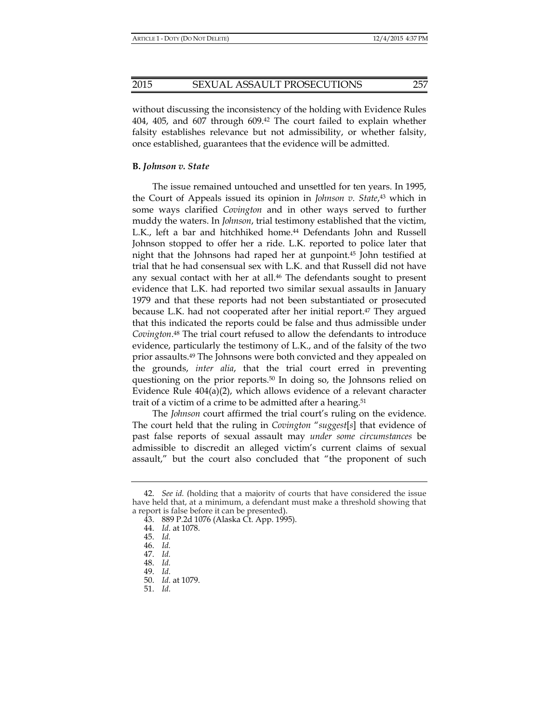without discussing the inconsistency of the holding with Evidence Rules 404, 405, and 607 through 609.42 The court failed to explain whether falsity establishes relevance but not admissibility, or whether falsity, once established, guarantees that the evidence will be admitted.

#### **B.** *Johnson v. State*

The issue remained untouched and unsettled for ten years. In 1995, the Court of Appeals issued its opinion in *Johnson v. State*, 43 which in some ways clarified *Covington* and in other ways served to further muddy the waters. In *Johnson*, trial testimony established that the victim, L.K., left a bar and hitchhiked home.<sup>44</sup> Defendants John and Russell Johnson stopped to offer her a ride. L.K. reported to police later that night that the Johnsons had raped her at gunpoint.45 John testified at trial that he had consensual sex with L.K. and that Russell did not have any sexual contact with her at all.<sup>46</sup> The defendants sought to present evidence that L.K. had reported two similar sexual assaults in January 1979 and that these reports had not been substantiated or prosecuted because L.K. had not cooperated after her initial report.47 They argued that this indicated the reports could be false and thus admissible under *Covington*. 48 The trial court refused to allow the defendants to introduce evidence, particularly the testimony of L.K., and of the falsity of the two prior assaults.49 The Johnsons were both convicted and they appealed on the grounds, *inter alia*, that the trial court erred in preventing questioning on the prior reports.50 In doing so, the Johnsons relied on Evidence Rule 404(a)(2), which allows evidence of a relevant character trait of a victim of a crime to be admitted after a hearing.51

The *Johnson* court affirmed the trial court's ruling on the evidence. The court held that the ruling in *Covington* "*suggest*[*s*] that evidence of past false reports of sexual assault may *under some circumstances* be admissible to discredit an alleged victim's current claims of sexual assault," but the court also concluded that "the proponent of such

 <sup>42.</sup> *See id.* (holding that a majority of courts that have considered the issue have held that, at a minimum, a defendant must make a threshold showing that a report is false before it can be presented).

 <sup>43. 889</sup> P.2d 1076 (Alaska Ct. App. 1995).

 <sup>44.</sup> *Id.* at 1078.

 <sup>45.</sup> *Id.* 

 <sup>46.</sup> *Id.* 

 <sup>47.</sup> *Id.* 

 <sup>48.</sup> *Id.* 

 <sup>49.</sup> *Id.*

 <sup>50.</sup> *Id.* at 1079.

 <sup>51.</sup> *Id.*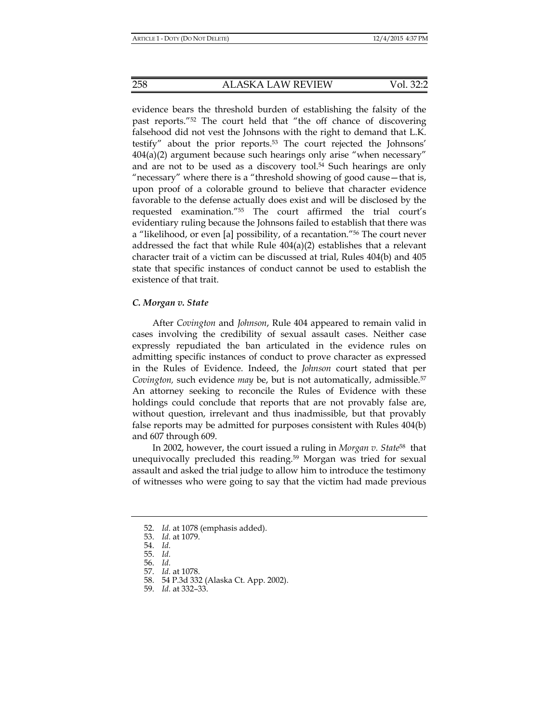evidence bears the threshold burden of establishing the falsity of the past reports."52 The court held that "the off chance of discovering falsehood did not vest the Johnsons with the right to demand that L.K. testify" about the prior reports.53 The court rejected the Johnsons'  $404(a)(2)$  argument because such hearings only arise "when necessary" and are not to be used as a discovery tool.54 Such hearings are only "necessary" where there is a "threshold showing of good cause—that is, upon proof of a colorable ground to believe that character evidence favorable to the defense actually does exist and will be disclosed by the requested examination."55 The court affirmed the trial court's evidentiary ruling because the Johnsons failed to establish that there was a "likelihood, or even [a] possibility, of a recantation."56 The court never addressed the fact that while Rule 404(a)(2) establishes that a relevant character trait of a victim can be discussed at trial, Rules 404(b) and 405 state that specific instances of conduct cannot be used to establish the existence of that trait.

#### *C. Morgan v. State*

After *Covington* and *Johnson*, Rule 404 appeared to remain valid in cases involving the credibility of sexual assault cases. Neither case expressly repudiated the ban articulated in the evidence rules on admitting specific instances of conduct to prove character as expressed in the Rules of Evidence. Indeed, the *Johnson* court stated that per *Covington,* such evidence *may* be, but is not automatically, admissible.57 An attorney seeking to reconcile the Rules of Evidence with these holdings could conclude that reports that are not provably false are, without question, irrelevant and thus inadmissible, but that provably false reports may be admitted for purposes consistent with Rules 404(b) and 607 through 609.

In 2002, however, the court issued a ruling in *Morgan v. State*58 that unequivocally precluded this reading.59 Morgan was tried for sexual assault and asked the trial judge to allow him to introduce the testimony of witnesses who were going to say that the victim had made previous

 <sup>52.</sup> *Id.* at 1078 (emphasis added).

 <sup>53.</sup> *Id.* at 1079.

 <sup>54.</sup> *Id.*

 <sup>55.</sup> *Id.*

 <sup>56.</sup> *Id.*

 <sup>57.</sup> *Id.* at 1078.

 <sup>58. 54</sup> P.3d 332 (Alaska Ct. App. 2002).

 <sup>59.</sup> *Id.* at 332–33.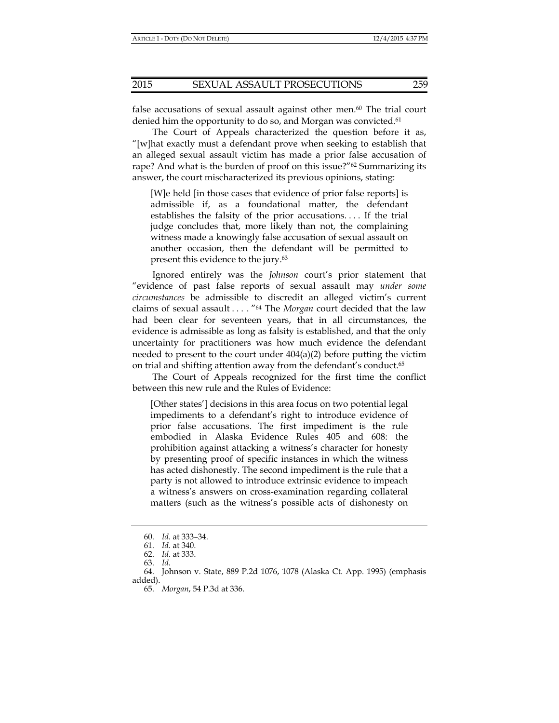false accusations of sexual assault against other men.<sup>60</sup> The trial court denied him the opportunity to do so, and Morgan was convicted.<sup>61</sup>

The Court of Appeals characterized the question before it as, "[w]hat exactly must a defendant prove when seeking to establish that an alleged sexual assault victim has made a prior false accusation of rape? And what is the burden of proof on this issue?"<sup>62</sup> Summarizing its answer, the court mischaracterized its previous opinions, stating:

[W]e held [in those cases that evidence of prior false reports] is admissible if, as a foundational matter, the defendant establishes the falsity of the prior accusations. . . . If the trial judge concludes that, more likely than not, the complaining witness made a knowingly false accusation of sexual assault on another occasion, then the defendant will be permitted to present this evidence to the jury.<sup>63</sup>

Ignored entirely was the *Johnson* court's prior statement that "evidence of past false reports of sexual assault may *under some circumstances* be admissible to discredit an alleged victim's current claims of sexual assault . . . . "64 The *Morgan* court decided that the law had been clear for seventeen years, that in all circumstances, the evidence is admissible as long as falsity is established, and that the only uncertainty for practitioners was how much evidence the defendant needed to present to the court under  $404(a)(2)$  before putting the victim on trial and shifting attention away from the defendant's conduct.65

The Court of Appeals recognized for the first time the conflict between this new rule and the Rules of Evidence:

[Other states'] decisions in this area focus on two potential legal impediments to a defendant's right to introduce evidence of prior false accusations. The first impediment is the rule embodied in Alaska Evidence Rules 405 and 608: the prohibition against attacking a witness's character for honesty by presenting proof of specific instances in which the witness has acted dishonestly. The second impediment is the rule that a party is not allowed to introduce extrinsic evidence to impeach a witness's answers on cross-examination regarding collateral matters (such as the witness's possible acts of dishonesty on

 <sup>60.</sup> *Id.* at 333–34.

 <sup>61.</sup> *Id.* at 340.

 <sup>62.</sup> *Id.* at 333.

 <sup>63.</sup> *Id.*

 <sup>64.</sup> Johnson v. State, 889 P.2d 1076, 1078 (Alaska Ct. App. 1995) (emphasis added).

 <sup>65.</sup> *Morgan*, 54 P.3d at 336.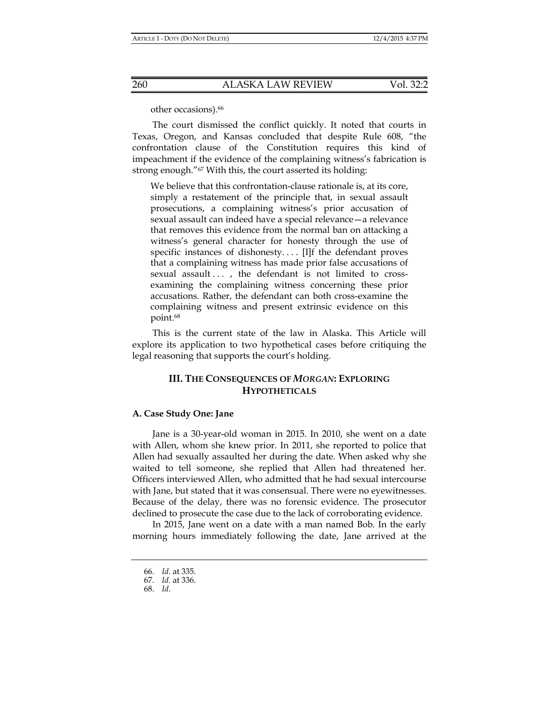other occasions).66

The court dismissed the conflict quickly. It noted that courts in Texas, Oregon, and Kansas concluded that despite Rule 608, "the confrontation clause of the Constitution requires this kind of impeachment if the evidence of the complaining witness's fabrication is strong enough."<sup>67</sup> With this, the court asserted its holding:

We believe that this confrontation-clause rationale is, at its core, simply a restatement of the principle that, in sexual assault prosecutions, a complaining witness's prior accusation of sexual assault can indeed have a special relevance—a relevance that removes this evidence from the normal ban on attacking a witness's general character for honesty through the use of specific instances of dishonesty. . . . [I]f the defendant proves that a complaining witness has made prior false accusations of sexual assault ..., the defendant is not limited to crossexamining the complaining witness concerning these prior accusations. Rather, the defendant can both cross-examine the complaining witness and present extrinsic evidence on this point.68

This is the current state of the law in Alaska. This Article will explore its application to two hypothetical cases before critiquing the legal reasoning that supports the court's holding.

## **III. THE CONSEQUENCES OF** *MORGAN***: EXPLORING HYPOTHETICALS**

#### **A. Case Study One: Jane**

Jane is a 30-year-old woman in 2015. In 2010, she went on a date with Allen, whom she knew prior. In 2011, she reported to police that Allen had sexually assaulted her during the date. When asked why she waited to tell someone, she replied that Allen had threatened her. Officers interviewed Allen, who admitted that he had sexual intercourse with Jane, but stated that it was consensual. There were no eyewitnesses. Because of the delay, there was no forensic evidence. The prosecutor declined to prosecute the case due to the lack of corroborating evidence.

In 2015, Jane went on a date with a man named Bob. In the early morning hours immediately following the date, Jane arrived at the

 <sup>66.</sup> *Id.* at 335.

 <sup>67.</sup> *Id.* at 336.

 <sup>68.</sup> *Id.*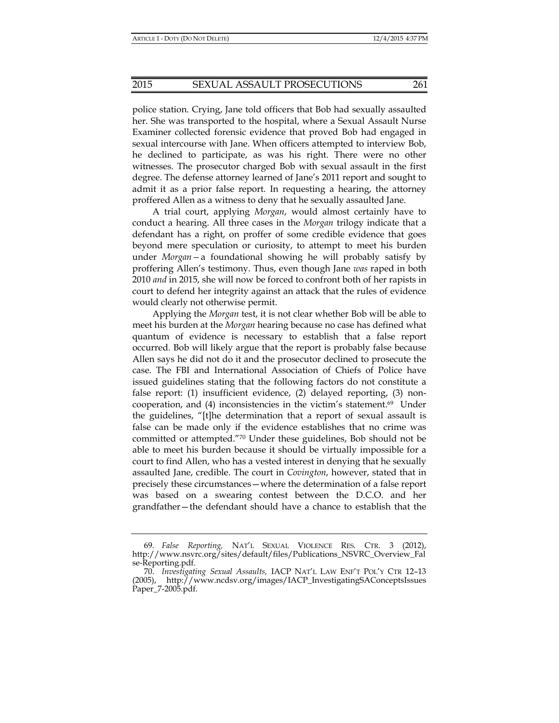police station. Crying, Jane told officers that Bob had sexually assaulted her. She was transported to the hospital, where a Sexual Assault Nurse Examiner collected forensic evidence that proved Bob had engaged in sexual intercourse with Jane. When officers attempted to interview Bob, he declined to participate, as was his right. There were no other witnesses. The prosecutor charged Bob with sexual assault in the first degree. The defense attorney learned of Jane's 2011 report and sought to admit it as a prior false report. In requesting a hearing, the attorney proffered Allen as a witness to deny that he sexually assaulted Jane.

A trial court, applying *Morgan*, would almost certainly have to conduct a hearing. All three cases in the *Morgan* trilogy indicate that a defendant has a right, on proffer of some credible evidence that goes beyond mere speculation or curiosity, to attempt to meet his burden under *Morgan—*a foundational showing he will probably satisfy by proffering Allen's testimony. Thus, even though Jane *was* raped in both 2010 *and* in 2015, she will now be forced to confront both of her rapists in court to defend her integrity against an attack that the rules of evidence would clearly not otherwise permit.

Applying the *Morgan* test, it is not clear whether Bob will be able to meet his burden at the *Morgan* hearing because no case has defined what quantum of evidence is necessary to establish that a false report occurred. Bob will likely argue that the report is probably false because Allen says he did not do it and the prosecutor declined to prosecute the case. The FBI and International Association of Chiefs of Police have issued guidelines stating that the following factors do not constitute a false report: (1) insufficient evidence, (2) delayed reporting, (3) noncooperation, and  $(4)$  inconsistencies in the victim's statement.<sup>69</sup> Under the guidelines, "[t]he determination that a report of sexual assault is false can be made only if the evidence establishes that no crime was committed or attempted."70 Under these guidelines, Bob should not be able to meet his burden because it should be virtually impossible for a court to find Allen, who has a vested interest in denying that he sexually assaulted Jane, credible. The court in *Covington*, however, stated that in precisely these circumstances—where the determination of a false report was based on a swearing contest between the D.C.O. and her grandfather—the defendant should have a chance to establish that the

 <sup>69.</sup> *False Reporting,* NAT'L SEXUAL VIOLENCE RES. CTR. 3 (2012), http://www.nsvrc.org/sites/default/files/Publications\_NSVRC\_Overview\_Fal se-Reporting.pdf.

 <sup>70.</sup> *Investigating Sexual Assaults,* IACP NAT'L LAW ENF'T POL'Y CTR 12–13 (2005), http://www.ncdsv.org/images/IACP\_InvestigatingSAConceptsIssues Paper\_7-2005.pdf.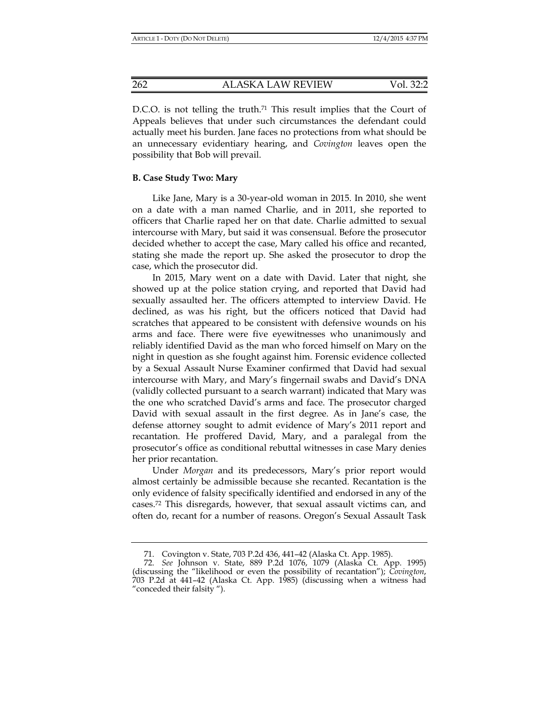D.C.O. is not telling the truth.<sup>71</sup> This result implies that the Court of Appeals believes that under such circumstances the defendant could actually meet his burden. Jane faces no protections from what should be an unnecessary evidentiary hearing, and *Covington* leaves open the possibility that Bob will prevail.

#### **B. Case Study Two: Mary**

Like Jane, Mary is a 30-year-old woman in 2015. In 2010, she went on a date with a man named Charlie, and in 2011, she reported to officers that Charlie raped her on that date. Charlie admitted to sexual intercourse with Mary, but said it was consensual. Before the prosecutor decided whether to accept the case, Mary called his office and recanted, stating she made the report up. She asked the prosecutor to drop the case, which the prosecutor did.

In 2015, Mary went on a date with David. Later that night, she showed up at the police station crying, and reported that David had sexually assaulted her. The officers attempted to interview David. He declined, as was his right, but the officers noticed that David had scratches that appeared to be consistent with defensive wounds on his arms and face. There were five eyewitnesses who unanimously and reliably identified David as the man who forced himself on Mary on the night in question as she fought against him. Forensic evidence collected by a Sexual Assault Nurse Examiner confirmed that David had sexual intercourse with Mary, and Mary's fingernail swabs and David's DNA (validly collected pursuant to a search warrant) indicated that Mary was the one who scratched David's arms and face. The prosecutor charged David with sexual assault in the first degree. As in Jane's case, the defense attorney sought to admit evidence of Mary's 2011 report and recantation. He proffered David, Mary, and a paralegal from the prosecutor's office as conditional rebuttal witnesses in case Mary denies her prior recantation.

Under *Morgan* and its predecessors, Mary's prior report would almost certainly be admissible because she recanted. Recantation is the only evidence of falsity specifically identified and endorsed in any of the cases.72 This disregards, however, that sexual assault victims can, and often do, recant for a number of reasons. Oregon's Sexual Assault Task

 <sup>71.</sup> Covington v. State, 703 P.2d 436, 441–42 (Alaska Ct. App. 1985).

 <sup>72.</sup> *See* Johnson v. State, 889 P.2d 1076, 1079 (Alaska Ct. App. 1995) (discussing the "likelihood or even the possibility of recantation"); *Covington*, 703 P.2d at 441–42 (Alaska Ct. App. 1985) (discussing when a witness had "conceded their falsity ").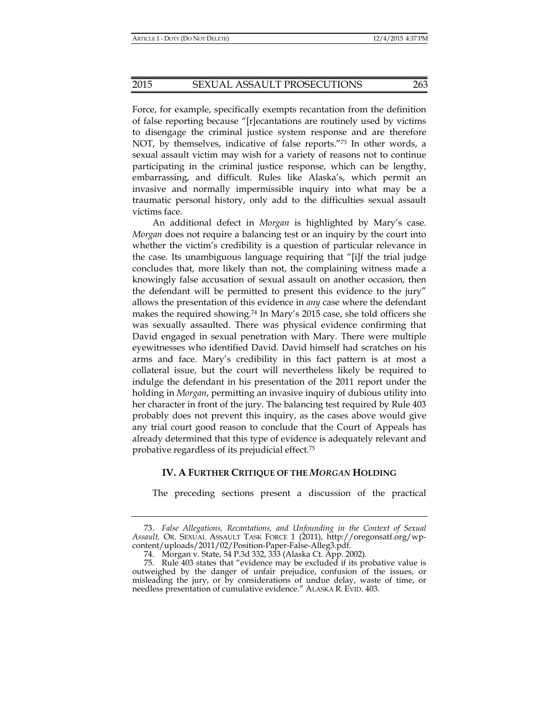Force, for example, specifically exempts recantation from the definition of false reporting because "[r]ecantations are routinely used by victims to disengage the criminal justice system response and are therefore NOT, by themselves, indicative of false reports.<sup>"73</sup> In other words, a sexual assault victim may wish for a variety of reasons not to continue participating in the criminal justice response, which can be lengthy, embarrassing, and difficult. Rules like Alaska's, which permit an invasive and normally impermissible inquiry into what may be a traumatic personal history, only add to the difficulties sexual assault victims face.

An additional defect in *Morgan* is highlighted by Mary's case. *Morgan* does not require a balancing test or an inquiry by the court into whether the victim's credibility is a question of particular relevance in the case. Its unambiguous language requiring that "[i]f the trial judge concludes that, more likely than not, the complaining witness made a knowingly false accusation of sexual assault on another occasion, then the defendant will be permitted to present this evidence to the jury" allows the presentation of this evidence in *any* case where the defendant makes the required showing.74 In Mary's 2015 case, she told officers she was sexually assaulted. There was physical evidence confirming that David engaged in sexual penetration with Mary. There were multiple eyewitnesses who identified David. David himself had scratches on his arms and face. Mary's credibility in this fact pattern is at most a collateral issue, but the court will nevertheless likely be required to indulge the defendant in his presentation of the 2011 report under the holding in *Morgan*, permitting an invasive inquiry of dubious utility into her character in front of the jury. The balancing test required by Rule 403 probably does not prevent this inquiry, as the cases above would give any trial court good reason to conclude that the Court of Appeals has already determined that this type of evidence is adequately relevant and probative regardless of its prejudicial effect.75

## **IV. A FURTHER CRITIQUE OF THE** *MORGAN* **HOLDING**

The preceding sections present a discussion of the practical

 <sup>73.</sup> *False Allegations, Recantations, and Unfounding in the Context of Sexual Assault,* OR. SEXUAL ASSAULT TASK FORCE 1 (2011), http://oregonsatf.org/wpcontent/uploads/2011/02/Position-Paper-False-Alleg3.pdf.

 <sup>74.</sup> Morgan v. State, 54 P.3d 332, 333 (Alaska Ct. App. 2002).

 <sup>75.</sup> Rule 403 states that "evidence may be excluded if its probative value is outweighed by the danger of unfair prejudice, confusion of the issues, or misleading the jury, or by considerations of undue delay, waste of time, or needless presentation of cumulative evidence." ALASKA R. EVID. 403.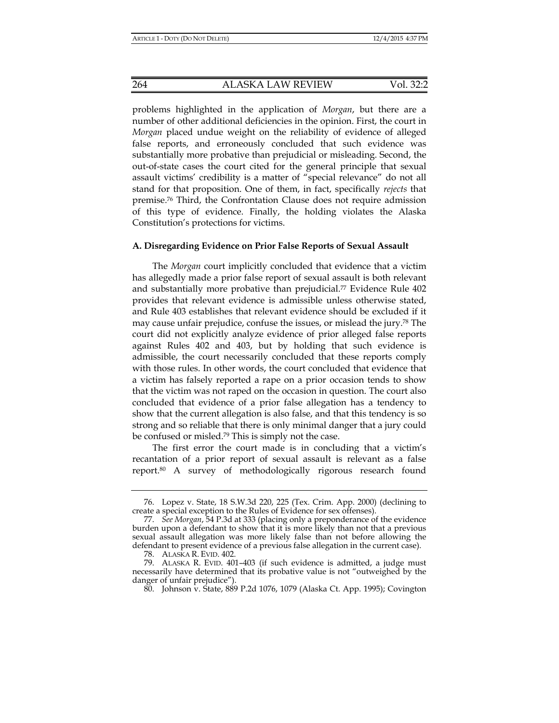264 ALASKA LAW REVIEW Vol. 32:2

problems highlighted in the application of *Morgan*, but there are a number of other additional deficiencies in the opinion. First, the court in *Morgan* placed undue weight on the reliability of evidence of alleged false reports, and erroneously concluded that such evidence was substantially more probative than prejudicial or misleading. Second, the out-of-state cases the court cited for the general principle that sexual assault victims' credibility is a matter of "special relevance" do not all stand for that proposition. One of them, in fact, specifically *rejects* that premise.76 Third, the Confrontation Clause does not require admission of this type of evidence. Finally, the holding violates the Alaska Constitution's protections for victims.

#### **A. Disregarding Evidence on Prior False Reports of Sexual Assault**

The *Morgan* court implicitly concluded that evidence that a victim has allegedly made a prior false report of sexual assault is both relevant and substantially more probative than prejudicial.77 Evidence Rule 402 provides that relevant evidence is admissible unless otherwise stated, and Rule 403 establishes that relevant evidence should be excluded if it may cause unfair prejudice, confuse the issues, or mislead the jury.78 The court did not explicitly analyze evidence of prior alleged false reports against Rules 402 and 403, but by holding that such evidence is admissible, the court necessarily concluded that these reports comply with those rules. In other words, the court concluded that evidence that a victim has falsely reported a rape on a prior occasion tends to show that the victim was not raped on the occasion in question. The court also concluded that evidence of a prior false allegation has a tendency to show that the current allegation is also false, and that this tendency is so strong and so reliable that there is only minimal danger that a jury could be confused or misled.79 This is simply not the case.

The first error the court made is in concluding that a victim's recantation of a prior report of sexual assault is relevant as a false report.80 A survey of methodologically rigorous research found

 <sup>76.</sup> Lopez v. State, 18 S.W.3d 220, 225 (Tex. Crim. App. 2000) (declining to create a special exception to the Rules of Evidence for sex offenses).

 <sup>77.</sup> *See Morgan*, 54 P.3d at 333 (placing only a preponderance of the evidence burden upon a defendant to show that it is more likely than not that a previous sexual assault allegation was more likely false than not before allowing the defendant to present evidence of a previous false allegation in the current case).

 <sup>78.</sup> ALASKA R. EVID. 402.

 <sup>79.</sup> ALASKA R. EVID. 401–403 (if such evidence is admitted, a judge must necessarily have determined that its probative value is not "outweighed by the danger of unfair prejudice").

 <sup>80.</sup> Johnson v. State, 889 P.2d 1076, 1079 (Alaska Ct. App. 1995); Covington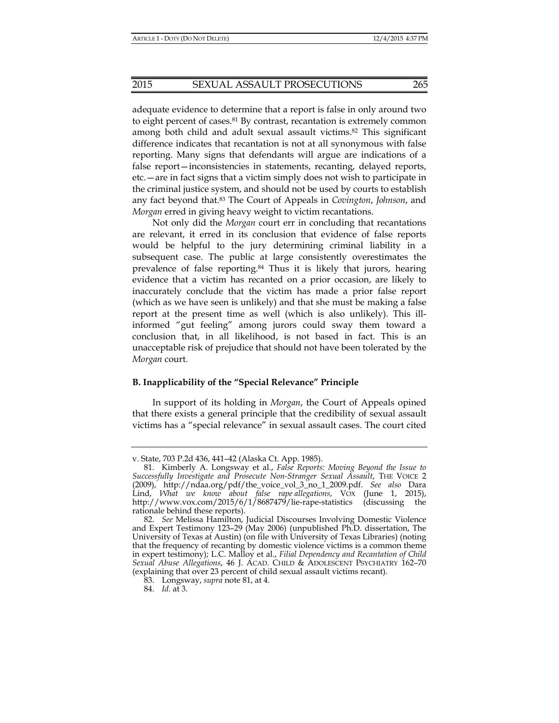adequate evidence to determine that a report is false in only around two to eight percent of cases.81 By contrast, recantation is extremely common among both child and adult sexual assault victims.82 This significant difference indicates that recantation is not at all synonymous with false reporting. Many signs that defendants will argue are indications of a false report—inconsistencies in statements, recanting, delayed reports, etc.—are in fact signs that a victim simply does not wish to participate in the criminal justice system, and should not be used by courts to establish any fact beyond that.83 The Court of Appeals in *Covington*, *Johnson*, and *Morgan* erred in giving heavy weight to victim recantations.

Not only did the *Morgan* court err in concluding that recantations are relevant, it erred in its conclusion that evidence of false reports would be helpful to the jury determining criminal liability in a subsequent case. The public at large consistently overestimates the prevalence of false reporting.84 Thus it is likely that jurors, hearing evidence that a victim has recanted on a prior occasion, are likely to inaccurately conclude that the victim has made a prior false report (which as we have seen is unlikely) and that she must be making a false report at the present time as well (which is also unlikely). This illinformed "gut feeling" among jurors could sway them toward a conclusion that, in all likelihood, is not based in fact. This is an unacceptable risk of prejudice that should not have been tolerated by the *Morgan* court.

### **B. Inapplicability of the "Special Relevance" Principle**

In support of its holding in *Morgan*, the Court of Appeals opined that there exists a general principle that the credibility of sexual assault victims has a "special relevance" in sexual assault cases. The court cited

v. State, 703 P.2d 436, 441–42 (Alaska Ct. App. 1985).

 <sup>81.</sup> Kimberly A. Longsway et al., *False Reports: Moving Beyond the Issue to Successfully Investigate and Prosecute Non-Stranger Sexual Assault*, THE VOICE 2 (2009), http://ndaa.org/pdf/the\_voice\_vol\_3\_no\_1\_2009.pdf. *See also* Dara Lind, *What we know about false rape allegations*, VOX (June 1, 2015), http://www.vox.com/2015/6/1/8687479/lie-rape-statistics (discussing the rationale behind these reports).

 <sup>82.</sup> *See* Melissa Hamilton, Judicial Discourses Involving Domestic Violence and Expert Testimony 123–29 (May 2006) (unpublished Ph.D. dissertation, The University of Texas at Austin) (on file with University of Texas Libraries) (noting that the frequency of recanting by domestic violence victims is a common theme in expert testimony); L.C. Malloy et al., *Filial Dependency and Recantation of Child Sexual Abuse Allegations*, 46 J. ACAD. CHILD & ADOLESCENT PSYCHIATRY 162–70 (explaining that over 23 percent of child sexual assault victims recant).

 <sup>83.</sup> Longsway, *supra* note 81, at 4.

 <sup>84.</sup> *Id.* at 3.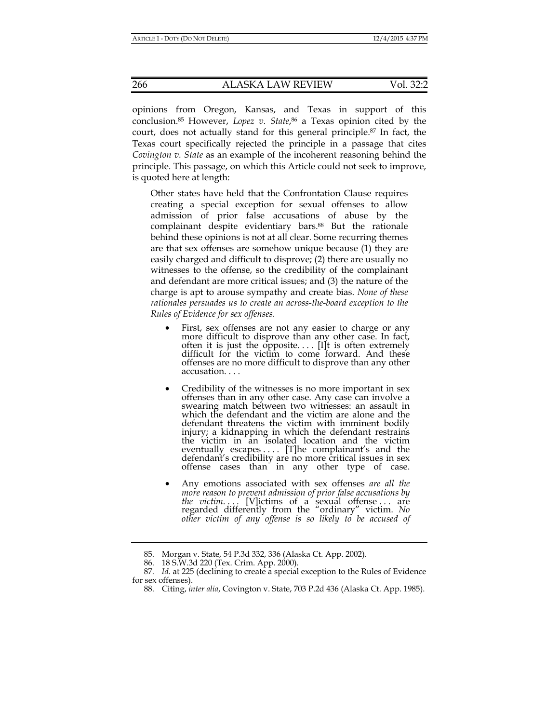opinions from Oregon, Kansas, and Texas in support of this conclusion.85 However, *Lopez v. State*, 86 a Texas opinion cited by the court, does not actually stand for this general principle.87 In fact, the Texas court specifically rejected the principle in a passage that cites *Covington v. State* as an example of the incoherent reasoning behind the principle. This passage, on which this Article could not seek to improve, is quoted here at length:

Other states have held that the Confrontation Clause requires creating a special exception for sexual offenses to allow admission of prior false accusations of abuse by the complainant despite evidentiary bars.<sup>88</sup> But the rationale behind these opinions is not at all clear. Some recurring themes are that sex offenses are somehow unique because (1) they are easily charged and difficult to disprove; (2) there are usually no witnesses to the offense, so the credibility of the complainant and defendant are more critical issues; and (3) the nature of the charge is apt to arouse sympathy and create bias. *None of these rationales persuades us to create an across-the-board exception to the Rules of Evidence for sex offenses.*

- First, sex offenses are not any easier to charge or any more difficult to disprove than any other case. In fact, often it is just the opposite.... [I]t is often extremely difficult for the victim to come forward. And these offenses are no more difficult to disprove than any other accusation. . . .
- Credibility of the witnesses is no more important in sex offenses than in any other case. Any case can involve a swearing match between two witnesses: an assault in which the defendant and the victim are alone and the defendant threatens the victim with imminent bodily injury; a kidnapping in which the defendant restrains the victim in an isolated location and the victim eventually escapes .... [T]he complainant's and the defendant's credibility are no more critical issues in sex offense cases than in any other type of case.
- Any emotions associated with sex offenses *are all the more reason to prevent admission of prior false accusations by the victim....* [V]ictims of a sexual offense... are regarded differently from the "ordinary" victim. *No other victim of any offense is so likely to be accused of*

 <sup>85.</sup> Morgan v. State, 54 P.3d 332, 336 (Alaska Ct. App. 2002).

 <sup>86. 18</sup> S.W.3d 220 (Tex. Crim. App. 2000).

 <sup>87.</sup> *Id.* at 225 (declining to create a special exception to the Rules of Evidence for sex offenses).

 <sup>88.</sup> Citing, *inter alia*, Covington v. State, 703 P.2d 436 (Alaska Ct. App. 1985).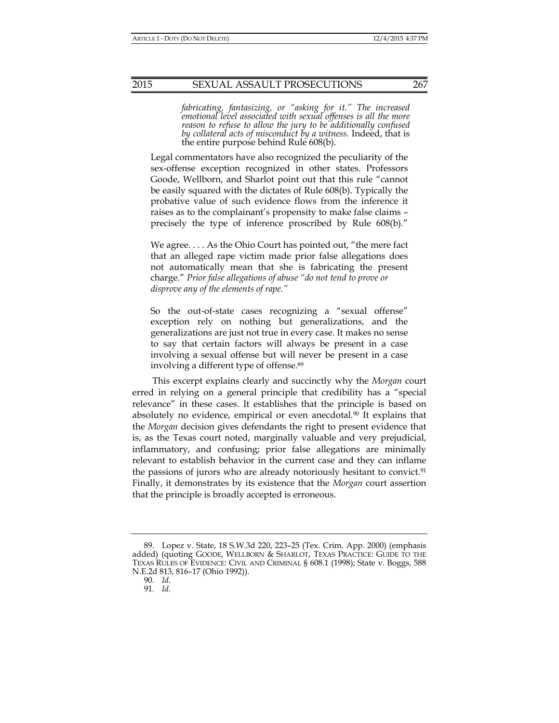*fabricating, fantasizing, or "asking for it." The increased emotional level associated with sexual offenses is all the more reason to refuse to allow the jury to be additionally confused by collateral acts of misconduct by a witness.* Indeed, that is the entire purpose behind Rule 608(b).

Legal commentators have also recognized the peculiarity of the sex-offense exception recognized in other states. Professors Goode, Wellborn, and Sharlot point out that this rule "cannot be easily squared with the dictates of Rule 608(b). Typically the probative value of such evidence flows from the inference it raises as to the complainant's propensity to make false claims – precisely the type of inference proscribed by Rule 608(b)."

We agree. . . . As the Ohio Court has pointed out, "the mere fact that an alleged rape victim made prior false allegations does not automatically mean that she is fabricating the present charge." *Prior false allegations of abuse "do not tend to prove or disprove any of the elements of rape."* 

So the out-of-state cases recognizing a "sexual offense" exception rely on nothing but generalizations, and the generalizations are just not true in every case. It makes no sense to say that certain factors will always be present in a case involving a sexual offense but will never be present in a case involving a different type of offense.89

This excerpt explains clearly and succinctly why the *Morgan* court erred in relying on a general principle that credibility has a "special relevance" in these cases. It establishes that the principle is based on absolutely no evidence, empirical or even anecdotal*.* 90 It explains that the *Morgan* decision gives defendants the right to present evidence that is, as the Texas court noted, marginally valuable and very prejudicial, inflammatory, and confusing; prior false allegations are minimally relevant to establish behavior in the current case and they can inflame the passions of jurors who are already notoriously hesitant to convict.<sup>91</sup> Finally, it demonstrates by its existence that the *Morgan* court assertion that the principle is broadly accepted is erroneous.

 <sup>89.</sup> Lopez v. State, 18 S.W.3d 220, 223–25 (Tex. Crim. App. 2000) (emphasis added) (quoting GOODE, WELLBORN & SHARLOT, TEXAS PRACTICE: GUIDE TO THE TEXAS RULES OF EVIDENCE: CIVIL AND CRIMINAL § 608.1 (1998); State v. Boggs, 588 N.E.2d 813, 816–17 (Ohio 1992)).

 <sup>90.</sup> *Id.*

 <sup>91.</sup> *Id.*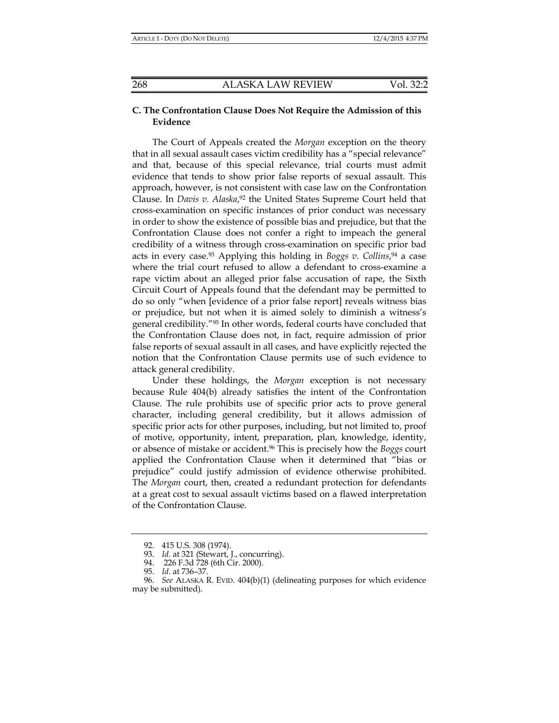## **C. The Confrontation Clause Does Not Require the Admission of this Evidence**

The Court of Appeals created the *Morgan* exception on the theory that in all sexual assault cases victim credibility has a "special relevance" and that, because of this special relevance, trial courts must admit evidence that tends to show prior false reports of sexual assault. This approach, however, is not consistent with case law on the Confrontation Clause. In *Davis v. Alaska*, 92 the United States Supreme Court held that cross-examination on specific instances of prior conduct was necessary in order to show the existence of possible bias and prejudice, but that the Confrontation Clause does not confer a right to impeach the general credibility of a witness through cross-examination on specific prior bad acts in every case.93 Applying this holding in *Boggs v. Collins*, 94 a case where the trial court refused to allow a defendant to cross-examine a rape victim about an alleged prior false accusation of rape, the Sixth Circuit Court of Appeals found that the defendant may be permitted to do so only "when [evidence of a prior false report] reveals witness bias or prejudice, but not when it is aimed solely to diminish a witness's general credibility."95 In other words, federal courts have concluded that the Confrontation Clause does not, in fact, require admission of prior false reports of sexual assault in all cases, and have explicitly rejected the notion that the Confrontation Clause permits use of such evidence to attack general credibility.

Under these holdings, the *Morgan* exception is not necessary because Rule 404(b) already satisfies the intent of the Confrontation Clause. The rule prohibits use of specific prior acts to prove general character, including general credibility, but it allows admission of specific prior acts for other purposes, including, but not limited to, proof of motive, opportunity, intent, preparation, plan, knowledge, identity, or absence of mistake or accident.96 This is precisely how the *Boggs* court applied the Confrontation Clause when it determined that "bias or prejudice" could justify admission of evidence otherwise prohibited. The *Morgan* court, then, created a redundant protection for defendants at a great cost to sexual assault victims based on a flawed interpretation of the Confrontation Clause.

 <sup>92. 415</sup> U.S. 308 (1974).

 <sup>93.</sup> *Id.* at 321 (Stewart, J., concurring).

 <sup>94. 226</sup> F.3d 728 (6th Cir. 2000).

 <sup>95.</sup> *Id.* at 736–37.

 <sup>96.</sup> *See* ALASKA R. EVID. 404(b)(1) (delineating purposes for which evidence may be submitted).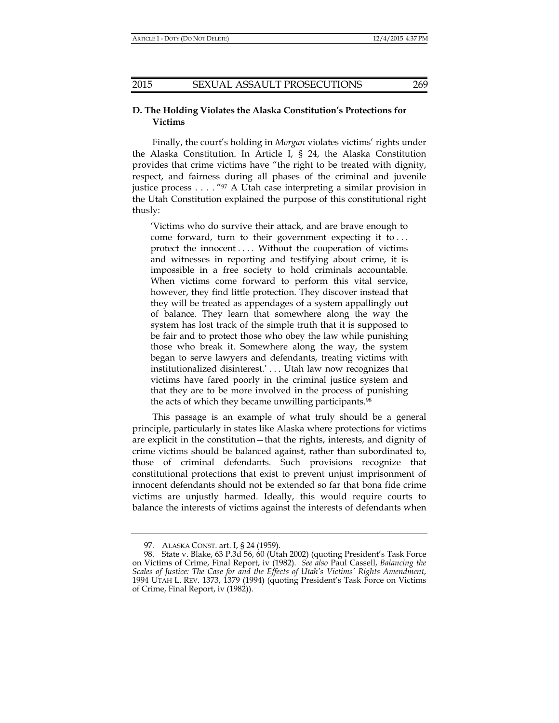## **D. The Holding Violates the Alaska Constitution's Protections for Victims**

Finally, the court's holding in *Morgan* violates victims' rights under the Alaska Constitution. In Article I, § 24, the Alaska Constitution provides that crime victims have "the right to be treated with dignity, respect, and fairness during all phases of the criminal and juvenile justice process . . . . "97 A Utah case interpreting a similar provision in the Utah Constitution explained the purpose of this constitutional right thusly:

'Victims who do survive their attack, and are brave enough to come forward, turn to their government expecting it to . . . protect the innocent .... Without the cooperation of victims and witnesses in reporting and testifying about crime, it is impossible in a free society to hold criminals accountable. When victims come forward to perform this vital service, however, they find little protection. They discover instead that they will be treated as appendages of a system appallingly out of balance. They learn that somewhere along the way the system has lost track of the simple truth that it is supposed to be fair and to protect those who obey the law while punishing those who break it. Somewhere along the way, the system began to serve lawyers and defendants, treating victims with institutionalized disinterest.' . . . Utah law now recognizes that victims have fared poorly in the criminal justice system and that they are to be more involved in the process of punishing the acts of which they became unwilling participants.<sup>98</sup>

This passage is an example of what truly should be a general principle, particularly in states like Alaska where protections for victims are explicit in the constitution—that the rights, interests, and dignity of crime victims should be balanced against, rather than subordinated to, those of criminal defendants. Such provisions recognize that constitutional protections that exist to prevent unjust imprisonment of innocent defendants should not be extended so far that bona fide crime victims are unjustly harmed. Ideally, this would require courts to balance the interests of victims against the interests of defendants when

 <sup>97.</sup> ALASKA CONST. art. I, § 24 (1959).

 <sup>98.</sup> State v. Blake, 63 P.3d 56, 60 (Utah 2002) (quoting President's Task Force on Victims of Crime, Final Report, iv (1982). *See also* Paul Cassell, *Balancing the Scales of Justice: The Case for and the Effects of Utah's Victims' Rights Amendment*, 1994 UTAH L. REV. 1373, 1379 (1994) (quoting President's Task Force on Victims of Crime, Final Report, iv (1982)).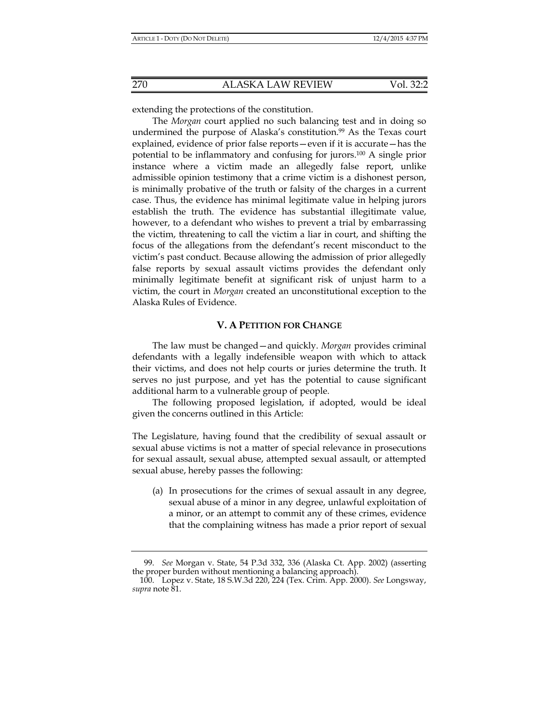extending the protections of the constitution.

The *Morgan* court applied no such balancing test and in doing so undermined the purpose of Alaska's constitution.<sup>99</sup> As the Texas court explained, evidence of prior false reports—even if it is accurate—has the potential to be inflammatory and confusing for jurors.100 A single prior instance where a victim made an allegedly false report, unlike admissible opinion testimony that a crime victim is a dishonest person, is minimally probative of the truth or falsity of the charges in a current case. Thus, the evidence has minimal legitimate value in helping jurors establish the truth. The evidence has substantial illegitimate value, however, to a defendant who wishes to prevent a trial by embarrassing the victim, threatening to call the victim a liar in court, and shifting the focus of the allegations from the defendant's recent misconduct to the victim's past conduct. Because allowing the admission of prior allegedly false reports by sexual assault victims provides the defendant only minimally legitimate benefit at significant risk of unjust harm to a victim, the court in *Morgan* created an unconstitutional exception to the Alaska Rules of Evidence.

## **V. A PETITION FOR CHANGE**

The law must be changed—and quickly. *Morgan* provides criminal defendants with a legally indefensible weapon with which to attack their victims, and does not help courts or juries determine the truth. It serves no just purpose, and yet has the potential to cause significant additional harm to a vulnerable group of people.

The following proposed legislation, if adopted, would be ideal given the concerns outlined in this Article:

The Legislature, having found that the credibility of sexual assault or sexual abuse victims is not a matter of special relevance in prosecutions for sexual assault, sexual abuse, attempted sexual assault, or attempted sexual abuse, hereby passes the following:

(a) In prosecutions for the crimes of sexual assault in any degree, sexual abuse of a minor in any degree, unlawful exploitation of a minor, or an attempt to commit any of these crimes, evidence that the complaining witness has made a prior report of sexual

 <sup>99.</sup> *See* Morgan v. State, 54 P.3d 332, 336 (Alaska Ct. App. 2002) (asserting the proper burden without mentioning a balancing approach).

 <sup>100.</sup> Lopez v. State, 18 S.W.3d 220, 224 (Tex. Crim. App. 2000). *See* Longsway, *supra* note 81.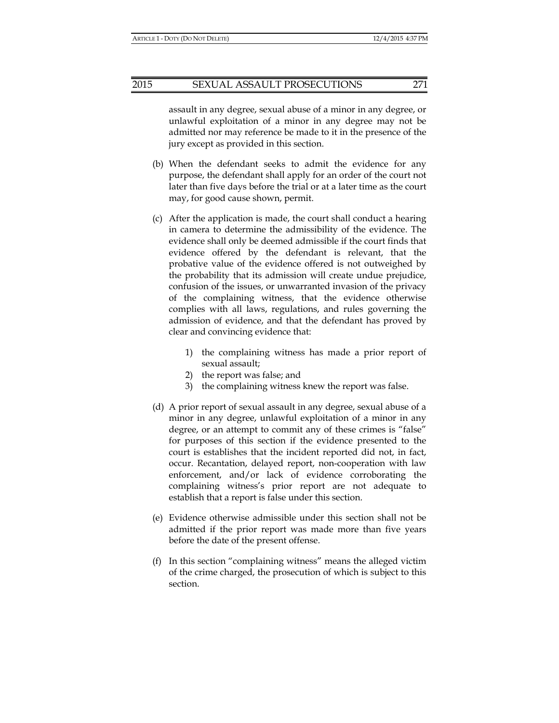## 2015 SEXUAL ASSAULT PROSECUTIONS 271

assault in any degree, sexual abuse of a minor in any degree, or unlawful exploitation of a minor in any degree may not be admitted nor may reference be made to it in the presence of the jury except as provided in this section.

- (b) When the defendant seeks to admit the evidence for any purpose, the defendant shall apply for an order of the court not later than five days before the trial or at a later time as the court may, for good cause shown, permit.
- (c) After the application is made, the court shall conduct a hearing in camera to determine the admissibility of the evidence. The evidence shall only be deemed admissible if the court finds that evidence offered by the defendant is relevant, that the probative value of the evidence offered is not outweighed by the probability that its admission will create undue prejudice, confusion of the issues, or unwarranted invasion of the privacy of the complaining witness, that the evidence otherwise complies with all laws, regulations, and rules governing the admission of evidence, and that the defendant has proved by clear and convincing evidence that:
	- 1) the complaining witness has made a prior report of sexual assault;
	- 2) the report was false; and
	- 3) the complaining witness knew the report was false.
- (d) A prior report of sexual assault in any degree, sexual abuse of a minor in any degree, unlawful exploitation of a minor in any degree, or an attempt to commit any of these crimes is "false" for purposes of this section if the evidence presented to the court is establishes that the incident reported did not, in fact, occur. Recantation, delayed report, non-cooperation with law enforcement, and/or lack of evidence corroborating the complaining witness's prior report are not adequate to establish that a report is false under this section.
- (e) Evidence otherwise admissible under this section shall not be admitted if the prior report was made more than five years before the date of the present offense.
- (f) In this section "complaining witness" means the alleged victim of the crime charged, the prosecution of which is subject to this section.